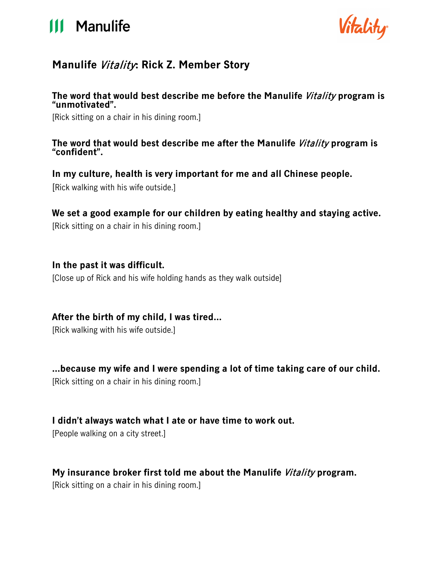# **111 Manulife**



# **Manulife** Vitality**: Rick Z. Member Story**

## **The word that would best describe me before the Manulife** Vitality **program is "unmotivated".**

[Rick sitting on a chair in his dining room.]

#### **The word that would best describe me after the Manulife** Vitality **program is "confident".**

# **In my culture, health is very important for me and all Chinese people.**

[Rick walking with his wife outside.]

# **We set a good example for our children by eating healthy and staying active.**

[Rick sitting on a chair in his dining room.]

## **In the past it was difficult.**

[Close up of Rick and his wife holding hands as they walk outside]

# **After the birth of my child, I was tired…**

[Rick walking with his wife outside.]

# **…because my wife and I were spending a lot of time taking care of our child.**

[Rick sitting on a chair in his dining room.]

# **I didn't always watch what I ate or have time to work out.**

[People walking on a city street.]

# **My insurance broker first told me about the Manulife** Vitality **program.**

[Rick sitting on a chair in his dining room.]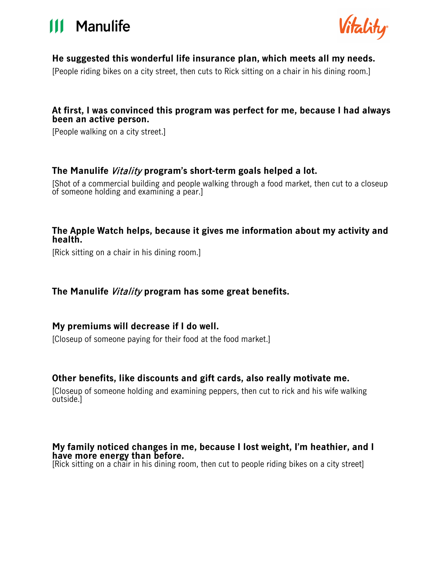



#### **He suggested this wonderful life insurance plan, which meets all my needs.**

[People riding bikes on a city street, then cuts to Rick sitting on a chair in his dining room.]

#### **At first, I was convinced this program was perfect for me, because I had always been an active person.**

[People walking on a city street.]

#### **The Manulife** Vitality **program's short-term goals helped a lot.**

[Shot of a commercial building and people walking through a food market, then cut to a closeup of someone holding and examining a pear.]

#### **The Apple Watch helps, because it gives me information about my activity and health.**

[Rick sitting on a chair in his dining room.]

#### **The Manulife** Vitality **program has some great benefits.**

#### **My premiums will decrease if I do well.**

[Closeup of someone paying for their food at the food market.]

#### **Other benefits, like discounts and gift cards, also really motivate me.**

[Closeup of someone holding and examining peppers, then cut to rick and his wife walking outside.]

#### **My family noticed changes in me, because I lost weight, I'm heathier, and I have more energy than before.**

[Rick sitting on a chair in his dining room, then cut to people riding bikes on a city street]